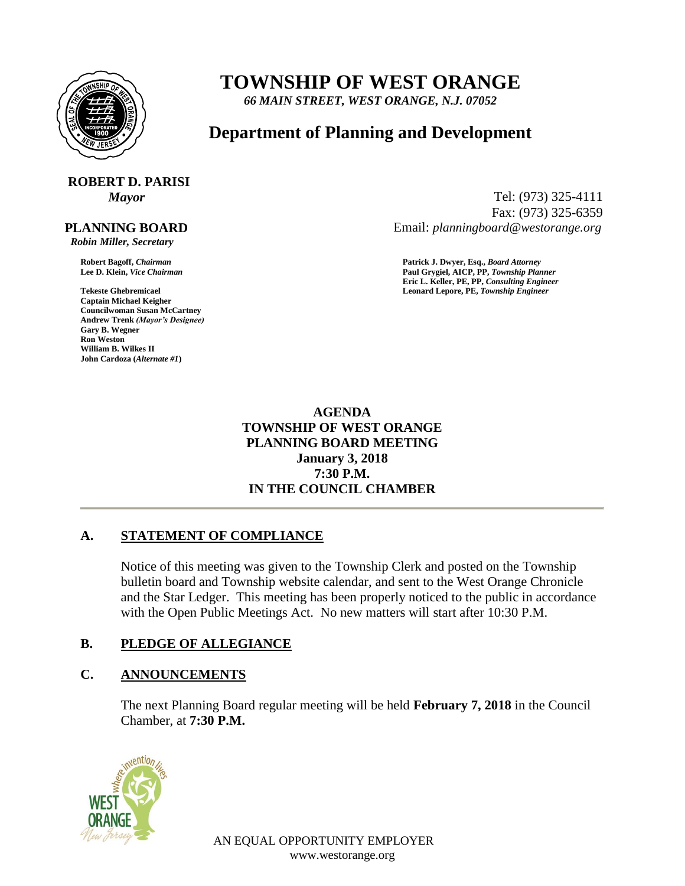

## **TOWNSHIP OF WEST ORANGE**

*66 MAIN STREET, WEST ORANGE, N.J. 07052*

### **Department of Planning and Development**

# **ROBERT D. PARISI**

#### **PLANNING BOARD**

 *Robin Miller, Secretary*

**Captain Michael Keigher Councilwoman Susan McCartney Andrew Trenk** *(Mayor's Designee)* **Gary B. Wegner Ron Weston William B. Wilkes II John Cardoza (***Alternate #1***)**

*Mayor* Tel: (973) 325-4111 Fax: (973) 325-6359 Email: *planningboard@westorange.org*

**Robert Bagoff,** *Chairman* **<b>Patrick J. Dwyer, Esq.,** *Board Attorney*<br> **Patrick J. Dwyer, Esq.,** *Board Attorney*<br>
Paul Grygiel, AICP, PP, *Township Plan* **Lee D. Klein,** *Vice Chairman* **Paul Grygiel, AICP, PP,** *Township Planner* **Eric L. Keller, PE, PP,** *Consulting Engineer* **Tekeste Ghebremicael Leonard Lepore, PE,** *Township Engineer*

> **AGENDA TOWNSHIP OF WEST ORANGE PLANNING BOARD MEETING January 3, 2018 7:30 P.M. IN THE COUNCIL CHAMBER**

#### **A. STATEMENT OF COMPLIANCE**

Notice of this meeting was given to the Township Clerk and posted on the Township bulletin board and Township website calendar, and sent to the West Orange Chronicle and the Star Ledger. This meeting has been properly noticed to the public in accordance with the Open Public Meetings Act. No new matters will start after 10:30 P.M.

#### **B. PLEDGE OF ALLEGIANCE**

#### **C. ANNOUNCEMENTS**

The next Planning Board regular meeting will be held **February 7, 2018** in the Council Chamber, at **7:30 P.M.**

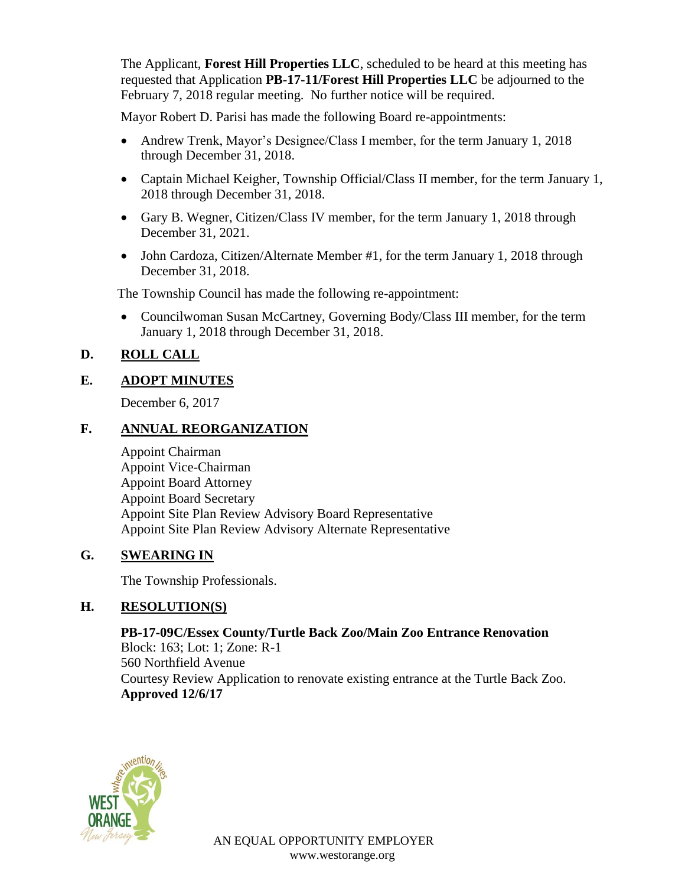The Applicant, **Forest Hill Properties LLC**, scheduled to be heard at this meeting has requested that Application **PB-17-11/Forest Hill Properties LLC** be adjourned to the February 7, 2018 regular meeting. No further notice will be required.

Mayor Robert D. Parisi has made the following Board re-appointments:

- Andrew Trenk, Mayor's Designee/Class I member, for the term January 1, 2018 through December 31, 2018.
- Captain Michael Keigher, Township Official/Class II member, for the term January 1, 2018 through December 31, 2018.
- Gary B. Wegner, Citizen/Class IV member, for the term January 1, 2018 through December 31, 2021.
- John Cardoza, Citizen/Alternate Member #1, for the term January 1, 2018 through December 31, 2018.

The Township Council has made the following re-appointment:

 Councilwoman Susan McCartney, Governing Body/Class III member, for the term January 1, 2018 through December 31, 2018.

#### **D. ROLL CALL**

#### **E. ADOPT MINUTES**

December 6, 2017

#### **F. ANNUAL REORGANIZATION**

Appoint Chairman Appoint Vice-Chairman Appoint Board Attorney Appoint Board Secretary Appoint Site Plan Review Advisory Board Representative Appoint Site Plan Review Advisory Alternate Representative

#### **G. SWEARING IN**

The Township Professionals.

#### **H. RESOLUTION(S)**

**PB-17-09C/Essex County/Turtle Back Zoo/Main Zoo Entrance Renovation** Block: 163; Lot: 1; Zone: R-1 560 Northfield Avenue Courtesy Review Application to renovate existing entrance at the Turtle Back Zoo. **Approved 12/6/17**